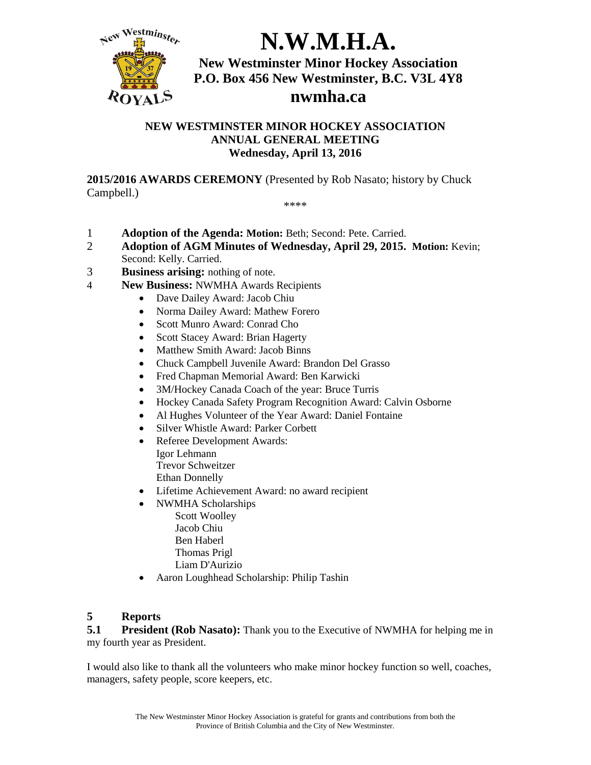

# **N.W.M.H.A.**

**New Westminster Minor Hockey Association P.O. Box 456 New Westminster, B.C. V3L 4Y8 nwmha.ca**

#### **NEW WESTMINSTER MINOR HOCKEY ASSOCIATION ANNUAL GENERAL MEETING Wednesday, April 13, 2016**

**2015/2016 AWARDS CEREMONY** (Presented by Rob Nasato; history by Chuck Campbell.)

- \*\*\*\*
- 1 **Adoption of the Agenda: Motion:** Beth; Second: Pete. Carried.
- 2 **Adoption of AGM Minutes of Wednesday, April 29, 2015. Motion:** Kevin; Second: Kelly. Carried.
- 3 **Business arising:** nothing of note.
- 4 **New Business:** NWMHA Awards Recipients
	- Dave Dailey Award: Jacob Chiu
	- Norma Dailey Award: Mathew Forero
	- Scott Munro Award: Conrad Cho
	- Scott Stacey Award: Brian Hagerty
	- Matthew Smith Award: Jacob Binns
	- Chuck Campbell Juvenile Award: Brandon Del Grasso
	- Fred Chapman Memorial Award: Ben Karwicki
	- 3M/Hockey Canada Coach of the year: Bruce Turris
	- Hockey Canada Safety Program Recognition Award: Calvin Osborne
	- Al Hughes Volunteer of the Year Award: Daniel Fontaine
	- Silver Whistle Award: Parker Corbett
	- Referee Development Awards:
		- Igor Lehmann Trevor Schweitzer Ethan Donnelly
	- Lifetime Achievement Award: no award recipient
	- NWMHA Scholarships
		- Scott Woolley Jacob Chiu Ben Haberl Thomas Prigl
			- Liam D'Aurizio
	- Aaron Loughhead Scholarship: Philip Tashin

#### **5 Reports**

**5.1 President (Rob Nasato):** Thank you to the Executive of NWMHA for helping me in my fourth year as President.

I would also like to thank all the volunteers who make minor hockey function so well, coaches, managers, safety people, score keepers, etc.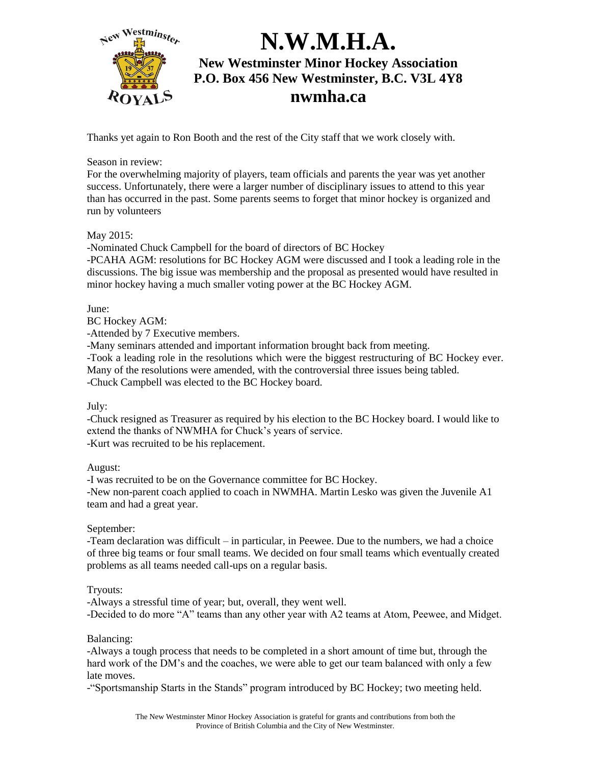

Thanks yet again to Ron Booth and the rest of the City staff that we work closely with.

Season in review:

For the overwhelming majority of players, team officials and parents the year was yet another success. Unfortunately, there were a larger number of disciplinary issues to attend to this year than has occurred in the past. Some parents seems to forget that minor hockey is organized and run by volunteers

#### May 2015:

-Nominated Chuck Campbell for the board of directors of BC Hockey

-PCAHA AGM: resolutions for BC Hockey AGM were discussed and I took a leading role in the discussions. The big issue was membership and the proposal as presented would have resulted in minor hockey having a much smaller voting power at the BC Hockey AGM.

June:

BC Hockey AGM:

-Attended by 7 Executive members.

-Many seminars attended and important information brought back from meeting.

-Took a leading role in the resolutions which were the biggest restructuring of BC Hockey ever. Many of the resolutions were amended, with the controversial three issues being tabled. -Chuck Campbell was elected to the BC Hockey board.

July:

-Chuck resigned as Treasurer as required by his election to the BC Hockey board. I would like to extend the thanks of NWMHA for Chuck's years of service. -Kurt was recruited to be his replacement.

August:

-I was recruited to be on the Governance committee for BC Hockey.

-New non-parent coach applied to coach in NWMHA. Martin Lesko was given the Juvenile A1 team and had a great year.

September:

-Team declaration was difficult – in particular, in Peewee. Due to the numbers, we had a choice of three big teams or four small teams. We decided on four small teams which eventually created problems as all teams needed call-ups on a regular basis.

Tryouts:

-Always a stressful time of year; but, overall, they went well. -Decided to do more "A" teams than any other year with A2 teams at Atom, Peewee, and Midget.

Balancing:

-Always a tough process that needs to be completed in a short amount of time but, through the hard work of the DM's and the coaches, we were able to get our team balanced with only a few late moves.

-"Sportsmanship Starts in the Stands" program introduced by BC Hockey; two meeting held.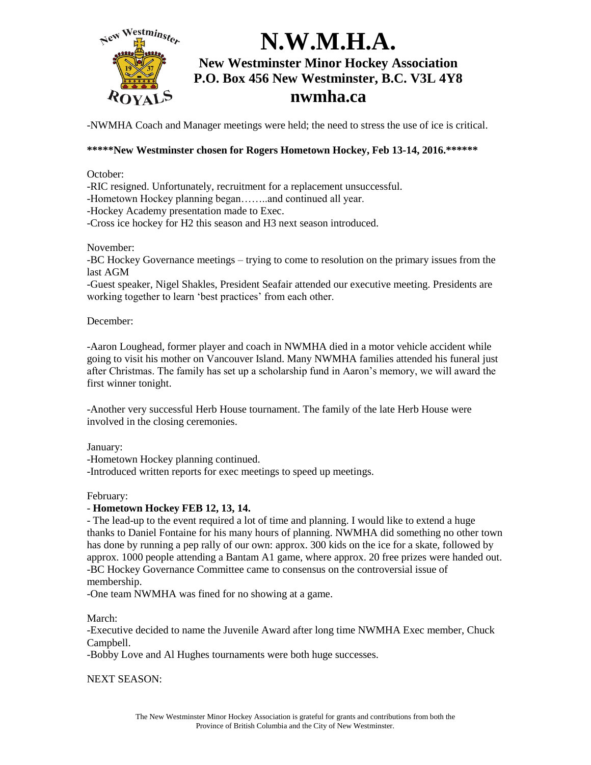

-NWMHA Coach and Manager meetings were held; the need to stress the use of ice is critical.

#### **\*\*\*\*\*New Westminster chosen for Rogers Hometown Hockey, Feb 13-14, 2016.\*\*\*\*\*\***

October:

-RIC resigned. Unfortunately, recruitment for a replacement unsuccessful.

-Hometown Hockey planning began……..and continued all year.

-Hockey Academy presentation made to Exec.

-Cross ice hockey for H2 this season and H3 next season introduced.

November:

-BC Hockey Governance meetings – trying to come to resolution on the primary issues from the last AGM

-Guest speaker, Nigel Shakles, President Seafair attended our executive meeting. Presidents are working together to learn 'best practices' from each other.

December:

-Aaron Loughead, former player and coach in NWMHA died in a motor vehicle accident while going to visit his mother on Vancouver Island. Many NWMHA families attended his funeral just after Christmas. The family has set up a scholarship fund in Aaron's memory, we will award the first winner tonight.

-Another very successful Herb House tournament. The family of the late Herb House were involved in the closing ceremonies.

January:

-Hometown Hockey planning continued.

-Introduced written reports for exec meetings to speed up meetings.

February:

#### - **Hometown Hockey FEB 12, 13, 14.**

- The lead-up to the event required a lot of time and planning. I would like to extend a huge thanks to Daniel Fontaine for his many hours of planning. NWMHA did something no other town has done by running a pep rally of our own: approx. 300 kids on the ice for a skate, followed by approx. 1000 people attending a Bantam A1 game, where approx. 20 free prizes were handed out. -BC Hockey Governance Committee came to consensus on the controversial issue of membership.

-One team NWMHA was fined for no showing at a game.

March:

-Executive decided to name the Juvenile Award after long time NWMHA Exec member, Chuck Campbell.

-Bobby Love and Al Hughes tournaments were both huge successes.

NEXT SEASON: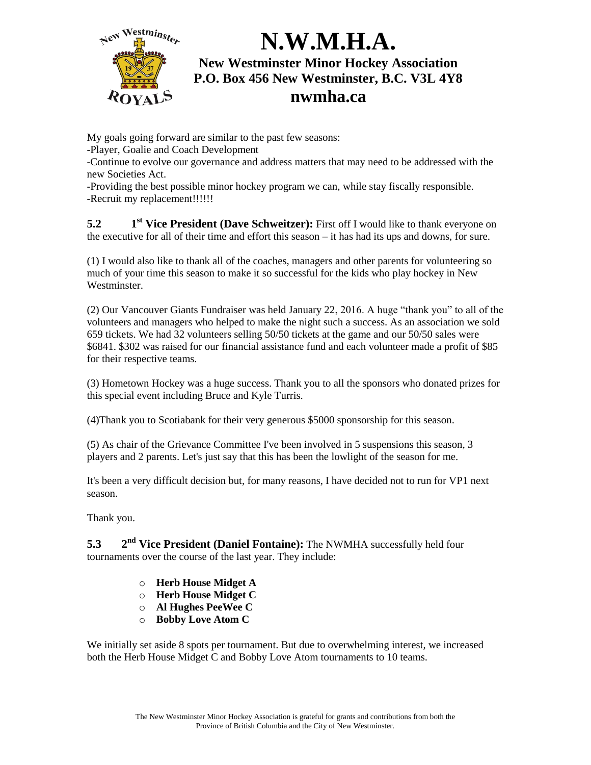

My goals going forward are similar to the past few seasons:

-Player, Goalie and Coach Development

-Continue to evolve our governance and address matters that may need to be addressed with the new Societies Act.

-Providing the best possible minor hockey program we can, while stay fiscally responsible. -Recruit my replacement!!!!!!

 $5.2$ **st Vice President (Dave Schweitzer):** First off I would like to thank everyone on the executive for all of their time and effort this season – it has had its ups and downs, for sure.

(1) I would also like to thank all of the coaches, managers and other parents for volunteering so much of your time this season to make it so successful for the kids who play hockey in New Westminster.

(2) Our Vancouver Giants Fundraiser was held January 22, 2016. A huge "thank you" to all of the volunteers and managers who helped to make the night such a success. As an association we sold 659 tickets. We had 32 volunteers selling 50/50 tickets at the game and our 50/50 sales were \$6841. \$302 was raised for our financial assistance fund and each volunteer made a profit of \$85 for their respective teams.

(3) Hometown Hockey was a huge success. Thank you to all the sponsors who donated prizes for this special event including Bruce and Kyle Turris.

(4)Thank you to Scotiabank for their very generous \$5000 sponsorship for this season.

(5) As chair of the Grievance Committee I've been involved in 5 suspensions this season, 3 players and 2 parents. Let's just say that this has been the lowlight of the season for me.

It's been a very difficult decision but, for many reasons, I have decided not to run for VP1 next season.

Thank you.

**5.3 2** 2<sup>nd</sup> Vice President (Daniel Fontaine): The NWMHA successfully held four tournaments over the course of the last year. They include:

- o **Herb House Midget A**
- o **Herb House Midget C**
- o **Al Hughes PeeWee C**
- o **Bobby Love Atom C**

We initially set aside 8 spots per tournament. But due to overwhelming interest, we increased both the Herb House Midget C and Bobby Love Atom tournaments to 10 teams.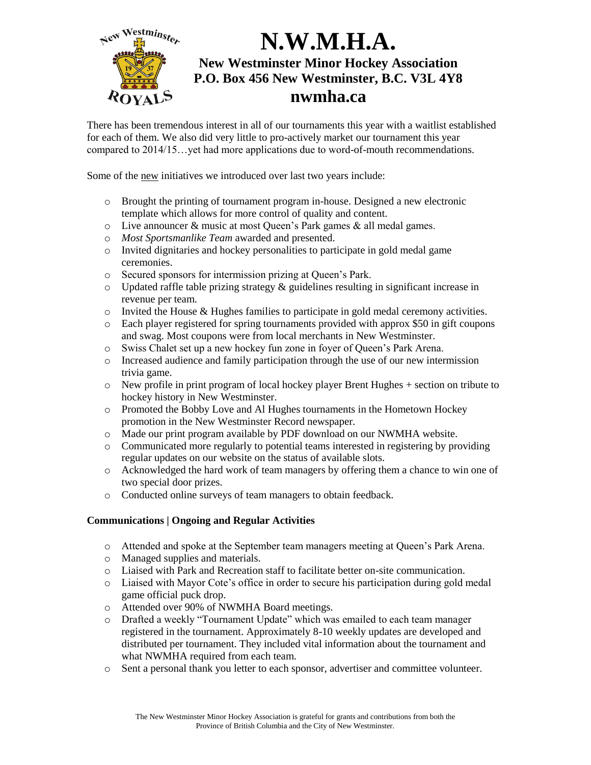

There has been tremendous interest in all of our tournaments this year with a waitlist established for each of them. We also did very little to pro-actively market our tournament this year compared to 2014/15…yet had more applications due to word-of-mouth recommendations.

Some of the new initiatives we introduced over last two years include:

- o Brought the printing of tournament program in-house. Designed a new electronic template which allows for more control of quality and content.
- o Live announcer & music at most Queen's Park games & all medal games.
- o *Most Sportsmanlike Team* awarded and presented.
- o Invited dignitaries and hockey personalities to participate in gold medal game ceremonies.
- o Secured sponsors for intermission prizing at Queen's Park.
- o Updated raffle table prizing strategy & guidelines resulting in significant increase in revenue per team.
- $\circ$  Invited the House & Hughes families to participate in gold medal ceremony activities.
- o Each player registered for spring tournaments provided with approx \$50 in gift coupons and swag. Most coupons were from local merchants in New Westminster.
- o Swiss Chalet set up a new hockey fun zone in foyer of Queen's Park Arena.
- o Increased audience and family participation through the use of our new intermission trivia game.
- $\circ$  New profile in print program of local hockey player Brent Hughes  $+$  section on tribute to hockey history in New Westminster.
- o Promoted the Bobby Love and Al Hughes tournaments in the Hometown Hockey promotion in the New Westminster Record newspaper.
- o Made our print program available by PDF download on our NWMHA website.
- o Communicated more regularly to potential teams interested in registering by providing regular updates on our website on the status of available slots.
- o Acknowledged the hard work of team managers by offering them a chance to win one of two special door prizes.
- o Conducted online surveys of team managers to obtain feedback.

#### **Communications | Ongoing and Regular Activities**

- o Attended and spoke at the September team managers meeting at Queen's Park Arena.
- o Managed supplies and materials.
- o Liaised with Park and Recreation staff to facilitate better on-site communication.
- o Liaised with Mayor Cote's office in order to secure his participation during gold medal game official puck drop.
- o Attended over 90% of NWMHA Board meetings.
- o Drafted a weekly "Tournament Update" which was emailed to each team manager registered in the tournament. Approximately 8-10 weekly updates are developed and distributed per tournament. They included vital information about the tournament and what NWMHA required from each team.
- o Sent a personal thank you letter to each sponsor, advertiser and committee volunteer.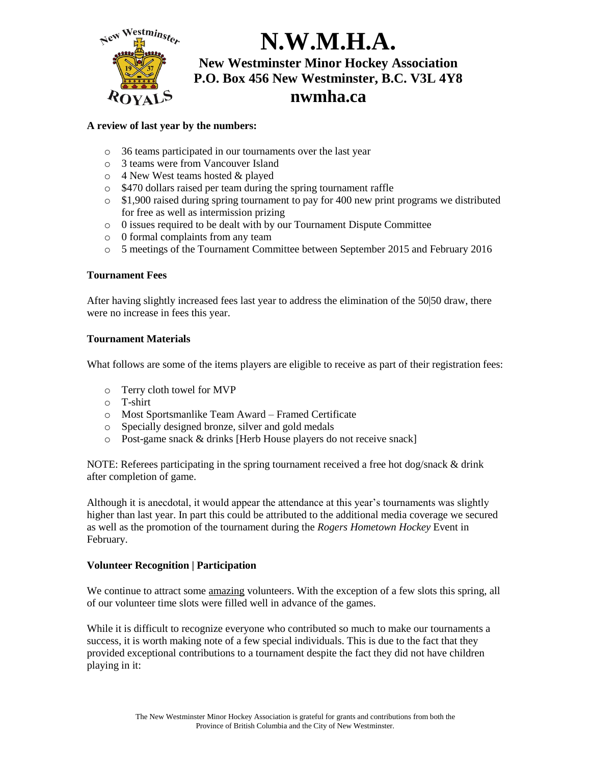

#### **A review of last year by the numbers:**

- o 36 teams participated in our tournaments over the last year
- o 3 teams were from Vancouver Island
- o 4 New West teams hosted & played
- o \$470 dollars raised per team during the spring tournament raffle
- o \$1,900 raised during spring tournament to pay for 400 new print programs we distributed for free as well as intermission prizing
- o 0 issues required to be dealt with by our Tournament Dispute Committee
- o 0 formal complaints from any team
- o 5 meetings of the Tournament Committee between September 2015 and February 2016

#### **Tournament Fees**

After having slightly increased fees last year to address the elimination of the 50|50 draw, there were no increase in fees this year.

#### **Tournament Materials**

What follows are some of the items players are eligible to receive as part of their registration fees:

- o Terry cloth towel for MVP
- o T-shirt
- o Most Sportsmanlike Team Award Framed Certificate
- o Specially designed bronze, silver and gold medals
- o Post-game snack & drinks [Herb House players do not receive snack]

NOTE: Referees participating in the spring tournament received a free hot dog/snack & drink after completion of game.

Although it is anecdotal, it would appear the attendance at this year's tournaments was slightly higher than last year. In part this could be attributed to the additional media coverage we secured as well as the promotion of the tournament during the *Rogers Hometown Hockey* Event in February.

#### **Volunteer Recognition | Participation**

We continue to attract some amazing volunteers. With the exception of a few slots this spring, all of our volunteer time slots were filled well in advance of the games.

While it is difficult to recognize everyone who contributed so much to make our tournaments a success, it is worth making note of a few special individuals. This is due to the fact that they provided exceptional contributions to a tournament despite the fact they did not have children playing in it: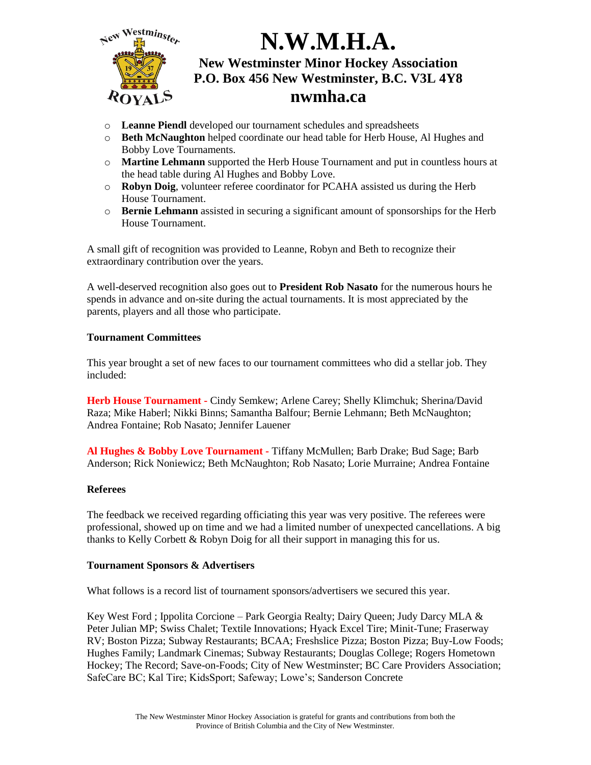

- o **Leanne Piendl** developed our tournament schedules and spreadsheets
- o **Beth McNaughton** helped coordinate our head table for Herb House, Al Hughes and Bobby Love Tournaments.
- o **Martine Lehmann** supported the Herb House Tournament and put in countless hours at the head table during Al Hughes and Bobby Love.
- o **Robyn Doig**, volunteer referee coordinator for PCAHA assisted us during the Herb House Tournament.
- o **Bernie Lehmann** assisted in securing a significant amount of sponsorships for the Herb House Tournament.

A small gift of recognition was provided to Leanne, Robyn and Beth to recognize their extraordinary contribution over the years.

A well-deserved recognition also goes out to **President Rob Nasato** for the numerous hours he spends in advance and on-site during the actual tournaments. It is most appreciated by the parents, players and all those who participate.

#### **Tournament Committees**

This year brought a set of new faces to our tournament committees who did a stellar job. They included:

**Herb House Tournament -** Cindy Semkew; Arlene Carey; Shelly Klimchuk; Sherina/David Raza; Mike Haberl; Nikki Binns; Samantha Balfour; Bernie Lehmann; Beth McNaughton; Andrea Fontaine; Rob Nasato; Jennifer Lauener

**Al Hughes & Bobby Love Tournament -** Tiffany McMullen; Barb Drake; Bud Sage; Barb Anderson; Rick Noniewicz; Beth McNaughton; Rob Nasato; Lorie Murraine; Andrea Fontaine

#### **Referees**

The feedback we received regarding officiating this year was very positive. The referees were professional, showed up on time and we had a limited number of unexpected cancellations. A big thanks to Kelly Corbett & Robyn Doig for all their support in managing this for us.

#### **Tournament Sponsors & Advertisers**

What follows is a record list of tournament sponsors/advertisers we secured this year.

Key West Ford ; Ippolita Corcione – Park Georgia Realty; Dairy Queen; Judy Darcy MLA & Peter Julian MP; Swiss Chalet; Textile Innovations; Hyack Excel Tire; Minit-Tune; Fraserway RV; Boston Pizza; Subway Restaurants; BCAA; Freshslice Pizza; Boston Pizza; Buy-Low Foods; Hughes Family; Landmark Cinemas; Subway Restaurants; Douglas College; Rogers Hometown Hockey; The Record; Save-on-Foods; City of New Westminster; BC Care Providers Association; SafeCare BC; Kal Tire; KidsSport; Safeway; Lowe's; Sanderson Concrete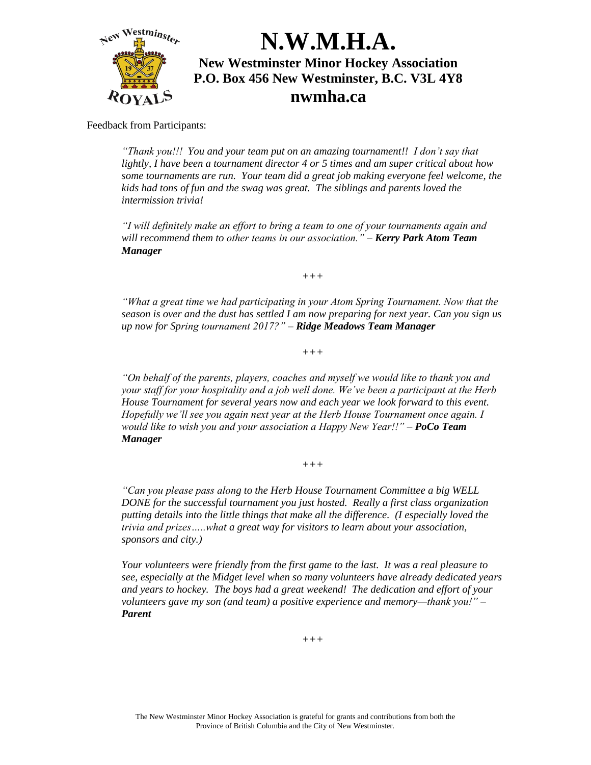

Feedback from Participants:

*"Thank you!!! You and your team put on an amazing tournament!! I don't say that lightly, I have been a tournament director 4 or 5 times and am super critical about how some tournaments are run. Your team did a great job making everyone feel welcome, the kids had tons of fun and the swag was great. The siblings and parents loved the intermission trivia!*

*"I will definitely make an effort to bring a team to one of your tournaments again and will recommend them to other teams in our association." – Kerry Park Atom Team Manager*

*+++*

*"What a great time we had participating in your Atom Spring Tournament. Now that the season is over and the dust has settled I am now preparing for next year. Can you sign us up now for Spring tournament 2017?" – Ridge Meadows Team Manager*

*+++*

*"On behalf of the parents, players, coaches and myself we would like to thank you and your staff for your hospitality and a job well done. We've been a participant at the Herb House Tournament for several years now and each year we look forward to this event. Hopefully we'll see you again next year at the Herb House Tournament once again. I would like to wish you and your association a Happy New Year!!" – PoCo Team Manager*

*+++*

*"Can you please pass along to the Herb House Tournament Committee a big WELL DONE for the successful tournament you just hosted. Really a first class organization putting details into the little things that make all the difference. (I especially loved the trivia and prizes…..what a great way for visitors to learn about your association, sponsors and city.)*

*Your volunteers were friendly from the first game to the last. It was a real pleasure to see, especially at the Midget level when so many volunteers have already dedicated years and years to hockey. The boys had a great weekend! The dedication and effort of your volunteers gave my son (and team) a positive experience and memory—thank you!" – Parent*

*+++*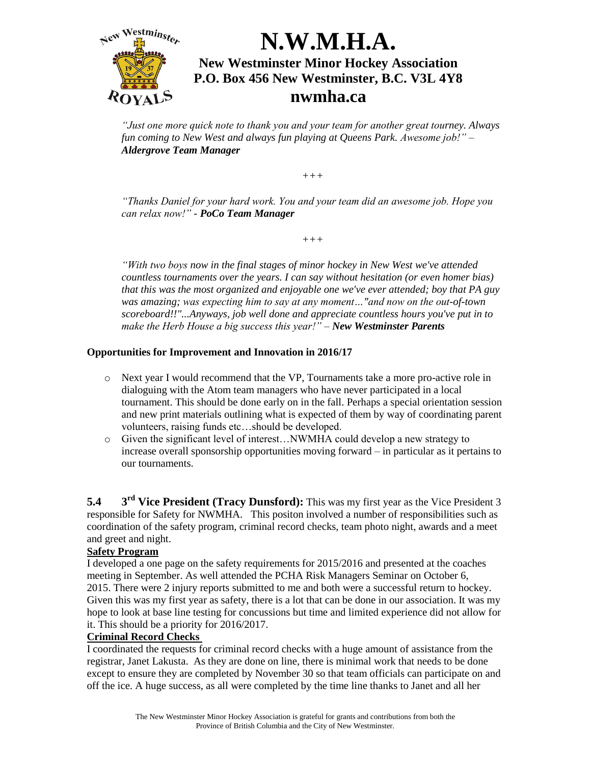

*"Just one more quick note to thank you and your team for another great tourney. Always fun coming to New West and always fun playing at Queens Park. Awesome job!" – Aldergrove Team Manager*

*+++*

*"Thanks Daniel for your hard work. You and your team did an awesome job. Hope you can relax now!" - PoCo Team Manager* 

*+++*

*"With two boys now in the final stages of minor hockey in New West we've attended countless tournaments over the years. I can say without hesitation (or even homer bias) that this was the most organized and enjoyable one we've ever attended; boy that PA guy was amazing; was expecting him to say at any moment…"and now on the out-of-town scoreboard!!"...Anyways, job well done and appreciate countless hours you've put in to make the Herb House a big success this year!" – New Westminster Parents*

#### **Opportunities for Improvement and Innovation in 2016/17**

- o Next year I would recommend that the VP, Tournaments take a more pro-active role in dialoguing with the Atom team managers who have never participated in a local tournament. This should be done early on in the fall. Perhaps a special orientation session and new print materials outlining what is expected of them by way of coordinating parent volunteers, raising funds etc…should be developed.
- o Given the significant level of interest…NWMHA could develop a new strategy to increase overall sponsorship opportunities moving forward – in particular as it pertains to our tournaments.

**5.4 3 3<sup>rd</sup> Vice President (Tracy Dunsford):** This was my first year as the Vice President 3 responsible for Safety for NWMHA. This positon involved a number of responsibilities such as coordination of the safety program, criminal record checks, team photo night, awards and a meet and greet and night.

#### **Safety Program**

I developed a one page on the safety requirements for 2015/2016 and presented at the coaches meeting in September. As well attended the PCHA Risk Managers Seminar on October 6, 2015. There were 2 injury reports submitted to me and both were a successful return to hockey. Given this was my first year as safety, there is a lot that can be done in our association. It was my hope to look at base line testing for concussions but time and limited experience did not allow for it. This should be a priority for 2016/2017.

#### **Criminal Record Checks**

I coordinated the requests for criminal record checks with a huge amount of assistance from the registrar, Janet Lakusta. As they are done on line, there is minimal work that needs to be done except to ensure they are completed by November 30 so that team officials can participate on and off the ice. A huge success, as all were completed by the time line thanks to Janet and all her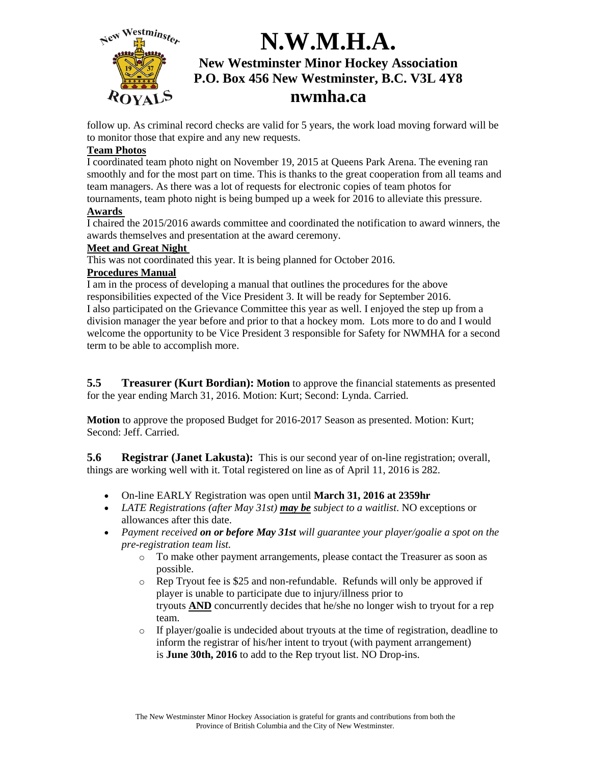

follow up. As criminal record checks are valid for 5 years, the work load moving forward will be to monitor those that expire and any new requests.

#### **Team Photos**

I coordinated team photo night on November 19, 2015 at Queens Park Arena. The evening ran smoothly and for the most part on time. This is thanks to the great cooperation from all teams and team managers. As there was a lot of requests for electronic copies of team photos for tournaments, team photo night is being bumped up a week for 2016 to alleviate this pressure.

#### **Awards**

I chaired the 2015/2016 awards committee and coordinated the notification to award winners, the awards themselves and presentation at the award ceremony.

#### **Meet and Great Night**

This was not coordinated this year. It is being planned for October 2016.

#### **Procedures Manual**

I am in the process of developing a manual that outlines the procedures for the above responsibilities expected of the Vice President 3. It will be ready for September 2016. I also participated on the Grievance Committee this year as well. I enjoyed the step up from a division manager the year before and prior to that a hockey mom. Lots more to do and I would welcome the opportunity to be Vice President 3 responsible for Safety for NWMHA for a second term to be able to accomplish more.

**5.5 Treasurer (Kurt Bordian): Motion** to approve the financial statements as presented for the year ending March 31, 2016. Motion: Kurt; Second: Lynda. Carried.

**Motion** to approve the proposed Budget for 2016-2017 Season as presented. Motion: Kurt; Second: Jeff. Carried.

**5.6 Registrar (Janet Lakusta):** This is our second year of on-line registration; overall, things are working well with it. Total registered on line as of April 11, 2016 is 282.

- On-line EARLY Registration was open until **March 31, 2016 at 2359hr**
- *LATE Registrations (after May 31st) may be subject to a waitlist*. NO exceptions or allowances after this date.
- *Payment received on or before May 31st will guarantee your player/goalie a spot on the pre-registration team list.*
	- o To make other payment arrangements, please contact the Treasurer as soon as possible.
	- $\circ$  Rep Tryout fee is \$25 and non-refundable. Refunds will only be approved if player is unable to participate due to injury/illness prior to tryouts **AND** concurrently decides that he/she no longer wish to tryout for a rep team.
	- o If player/goalie is undecided about tryouts at the time of registration, deadline to inform the registrar of his/her intent to tryout (with payment arrangement) is **June 30th, 2016** to add to the Rep tryout list. NO Drop-ins.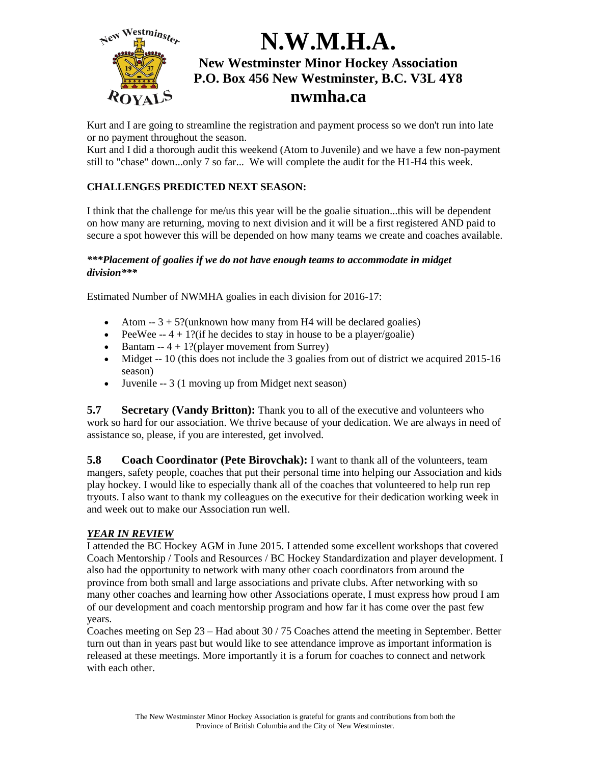

Kurt and I are going to streamline the registration and payment process so we don't run into late or no payment throughout the season.

Kurt and I did a thorough audit this weekend (Atom to Juvenile) and we have a few non-payment still to "chase" down...only 7 so far... We will complete the audit for the H1-H4 this week.

#### **CHALLENGES PREDICTED NEXT SEASON:**

I think that the challenge for me/us this year will be the goalie situation...this will be dependent on how many are returning, moving to next division and it will be a first registered AND paid to secure a spot however this will be depended on how many teams we create and coaches available.

#### *\*\*\*Placement of goalies if we do not have enough teams to accommodate in midget division\*\*\**

Estimated Number of NWMHA goalies in each division for 2016-17:

- Atom  $-3 + 5$ ?(unknown how many from H4 will be declared goalies)
- PeeWee  $-4 + 1$ ?(if he decides to stay in house to be a player/goalie)
- $\bullet$  Bantam -- 4 + 1?(player movement from Surrey)
- Midget -- 10 (this does not include the 3 goalies from out of district we acquired 2015-16 season)
- Juvenile -- 3 (1 moving up from Midget next season)

**5.7 Secretary (Vandy Britton):** Thank you to all of the executive and volunteers who work so hard for our association. We thrive because of your dedication. We are always in need of assistance so, please, if you are interested, get involved.

**5.8 Coach Coordinator (Pete Birovchak):** I want to thank all of the volunteers, team mangers, safety people, coaches that put their personal time into helping our Association and kids play hockey. I would like to especially thank all of the coaches that volunteered to help run rep tryouts. I also want to thank my colleagues on the executive for their dedication working week in and week out to make our Association run well.

#### *YEAR IN REVIEW*

I attended the BC Hockey AGM in June 2015. I attended some excellent workshops that covered Coach Mentorship / Tools and Resources / BC Hockey Standardization and player development. I also had the opportunity to network with many other coach coordinators from around the province from both small and large associations and private clubs. After networking with so many other coaches and learning how other Associations operate, I must express how proud I am of our development and coach mentorship program and how far it has come over the past few years.

Coaches meeting on Sep  $23 -$  Had about  $30/75$  Coaches attend the meeting in September. Better turn out than in years past but would like to see attendance improve as important information is released at these meetings. More importantly it is a forum for coaches to connect and network with each other.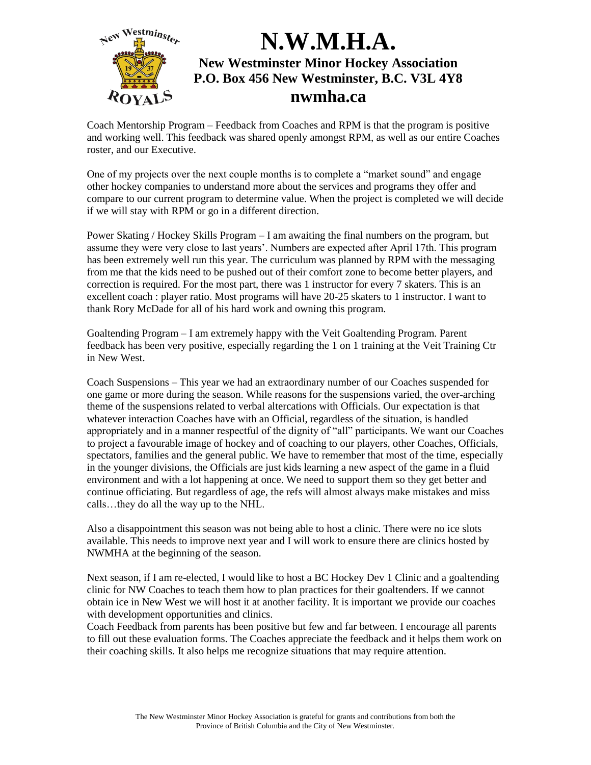

Coach Mentorship Program – Feedback from Coaches and RPM is that the program is positive and working well. This feedback was shared openly amongst RPM, as well as our entire Coaches roster, and our Executive.

One of my projects over the next couple months is to complete a "market sound" and engage other hockey companies to understand more about the services and programs they offer and compare to our current program to determine value. When the project is completed we will decide if we will stay with RPM or go in a different direction.

Power Skating / Hockey Skills Program – I am awaiting the final numbers on the program, but assume they were very close to last years'. Numbers are expected after April 17th. This program has been extremely well run this year. The curriculum was planned by RPM with the messaging from me that the kids need to be pushed out of their comfort zone to become better players, and correction is required. For the most part, there was 1 instructor for every 7 skaters. This is an excellent coach : player ratio. Most programs will have 20-25 skaters to 1 instructor. I want to thank Rory McDade for all of his hard work and owning this program.

Goaltending Program – I am extremely happy with the Veit Goaltending Program. Parent feedback has been very positive, especially regarding the 1 on 1 training at the Veit Training Ctr in New West.

Coach Suspensions – This year we had an extraordinary number of our Coaches suspended for one game or more during the season. While reasons for the suspensions varied, the over-arching theme of the suspensions related to verbal altercations with Officials. Our expectation is that whatever interaction Coaches have with an Official, regardless of the situation, is handled appropriately and in a manner respectful of the dignity of "all" participants. We want our Coaches to project a favourable image of hockey and of coaching to our players, other Coaches, Officials, spectators, families and the general public. We have to remember that most of the time, especially in the younger divisions, the Officials are just kids learning a new aspect of the game in a fluid environment and with a lot happening at once. We need to support them so they get better and continue officiating. But regardless of age, the refs will almost always make mistakes and miss calls…they do all the way up to the NHL.

Also a disappointment this season was not being able to host a clinic. There were no ice slots available. This needs to improve next year and I will work to ensure there are clinics hosted by NWMHA at the beginning of the season.

Next season, if I am re-elected, I would like to host a BC Hockey Dev 1 Clinic and a goaltending clinic for NW Coaches to teach them how to plan practices for their goaltenders. If we cannot obtain ice in New West we will host it at another facility. It is important we provide our coaches with development opportunities and clinics.

Coach Feedback from parents has been positive but few and far between. I encourage all parents to fill out these evaluation forms. The Coaches appreciate the feedback and it helps them work on their coaching skills. It also helps me recognize situations that may require attention.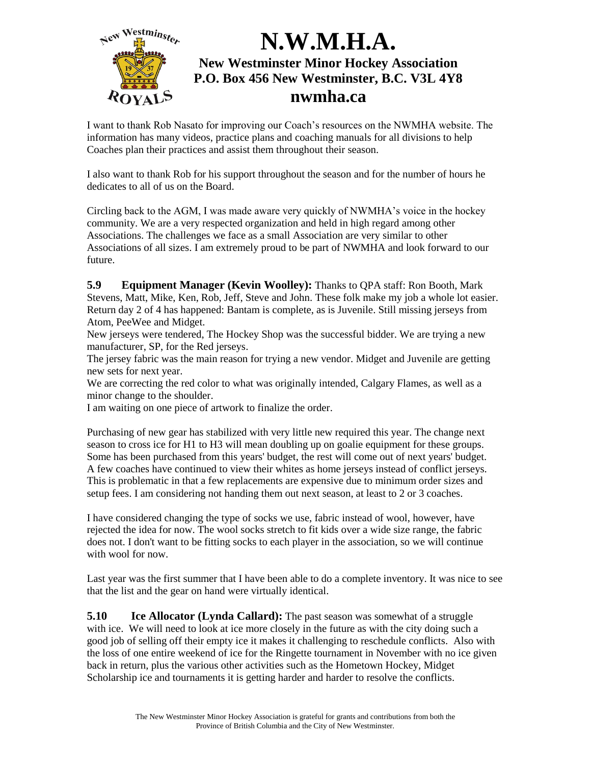

I want to thank Rob Nasato for improving our Coach's resources on the NWMHA website. The information has many videos, practice plans and coaching manuals for all divisions to help Coaches plan their practices and assist them throughout their season.

I also want to thank Rob for his support throughout the season and for the number of hours he dedicates to all of us on the Board.

Circling back to the AGM, I was made aware very quickly of NWMHA's voice in the hockey community. We are a very respected organization and held in high regard among other Associations. The challenges we face as a small Association are very similar to other Associations of all sizes. I am extremely proud to be part of NWMHA and look forward to our future.

**5.9 Equipment Manager (Kevin Woolley):** Thanks to QPA staff: Ron Booth, Mark Stevens, Matt, Mike, Ken, Rob, Jeff, Steve and John. These folk make my job a whole lot easier. Return day 2 of 4 has happened: Bantam is complete, as is Juvenile. Still missing jerseys from Atom, PeeWee and Midget.

New jerseys were tendered, The Hockey Shop was the successful bidder. We are trying a new manufacturer, SP, for the Red jerseys.

The jersey fabric was the main reason for trying a new vendor. Midget and Juvenile are getting new sets for next year.

We are correcting the red color to what was originally intended, Calgary Flames, as well as a minor change to the shoulder.

I am waiting on one piece of artwork to finalize the order.

Purchasing of new gear has stabilized with very little new required this year. The change next season to cross ice for H1 to H3 will mean doubling up on goalie equipment for these groups. Some has been purchased from this years' budget, the rest will come out of next years' budget. A few coaches have continued to view their whites as home jerseys instead of conflict jerseys. This is problematic in that a few replacements are expensive due to minimum order sizes and setup fees. I am considering not handing them out next season, at least to 2 or 3 coaches.

I have considered changing the type of socks we use, fabric instead of wool, however, have rejected the idea for now. The wool socks stretch to fit kids over a wide size range, the fabric does not. I don't want to be fitting socks to each player in the association, so we will continue with wool for now.

Last year was the first summer that I have been able to do a complete inventory. It was nice to see that the list and the gear on hand were virtually identical.

**5.10 Ice Allocator (Lynda Callard):** The past season was somewhat of a struggle with ice. We will need to look at ice more closely in the future as with the city doing such a good job of selling off their empty ice it makes it challenging to reschedule conflicts. Also with the loss of one entire weekend of ice for the Ringette tournament in November with no ice given back in return, plus the various other activities such as the Hometown Hockey, Midget Scholarship ice and tournaments it is getting harder and harder to resolve the conflicts.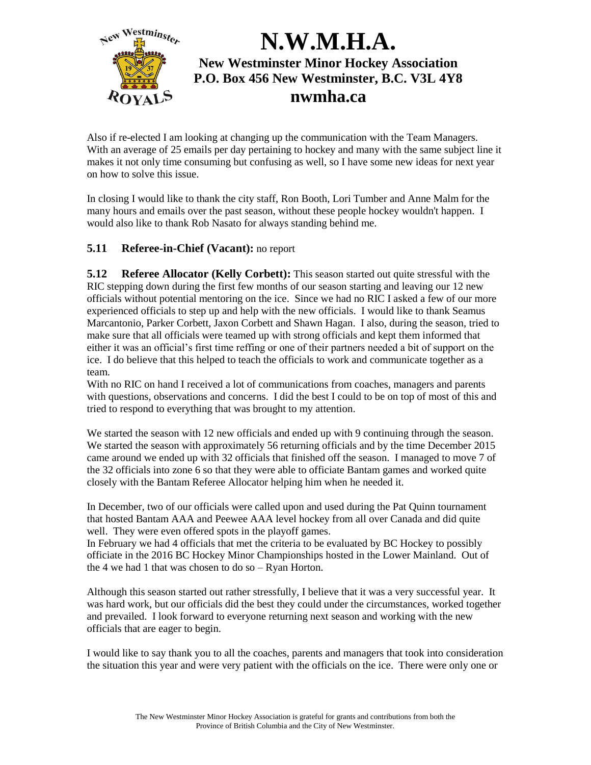

Also if re-elected I am looking at changing up the communication with the Team Managers. With an average of 25 emails per day pertaining to hockey and many with the same subject line it makes it not only time consuming but confusing as well, so I have some new ideas for next year on how to solve this issue.

In closing I would like to thank the city staff, Ron Booth, Lori Tumber and Anne Malm for the many hours and emails over the past season, without these people hockey wouldn't happen. I would also like to thank Rob Nasato for always standing behind me.

#### **5.11 Referee-in-Chief (Vacant):** no report

**5.12 Referee Allocator (Kelly Corbett):** This season started out quite stressful with the RIC stepping down during the first few months of our season starting and leaving our 12 new officials without potential mentoring on the ice. Since we had no RIC I asked a few of our more experienced officials to step up and help with the new officials. I would like to thank Seamus Marcantonio, Parker Corbett, Jaxon Corbett and Shawn Hagan. I also, during the season, tried to make sure that all officials were teamed up with strong officials and kept them informed that either it was an official's first time reffing or one of their partners needed a bit of support on the ice. I do believe that this helped to teach the officials to work and communicate together as a team.

With no RIC on hand I received a lot of communications from coaches, managers and parents with questions, observations and concerns. I did the best I could to be on top of most of this and tried to respond to everything that was brought to my attention.

We started the season with 12 new officials and ended up with 9 continuing through the season. We started the season with approximately 56 returning officials and by the time December 2015 came around we ended up with 32 officials that finished off the season. I managed to move 7 of the 32 officials into zone 6 so that they were able to officiate Bantam games and worked quite closely with the Bantam Referee Allocator helping him when he needed it.

In December, two of our officials were called upon and used during the Pat Quinn tournament that hosted Bantam AAA and Peewee AAA level hockey from all over Canada and did quite well. They were even offered spots in the playoff games.

In February we had 4 officials that met the criteria to be evaluated by BC Hockey to possibly officiate in the 2016 BC Hockey Minor Championships hosted in the Lower Mainland. Out of the 4 we had 1 that was chosen to do so – Ryan Horton.

Although this season started out rather stressfully, I believe that it was a very successful year. It was hard work, but our officials did the best they could under the circumstances, worked together and prevailed. I look forward to everyone returning next season and working with the new officials that are eager to begin.

I would like to say thank you to all the coaches, parents and managers that took into consideration the situation this year and were very patient with the officials on the ice. There were only one or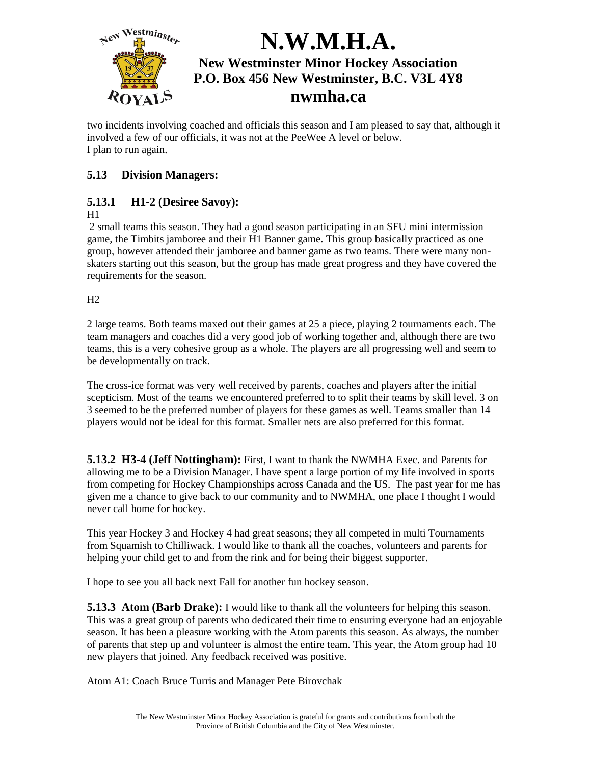

two incidents involving coached and officials this season and I am pleased to say that, although it involved a few of our officials, it was not at the PeeWee A level or below. I plan to run again.

### **5.13 Division Managers:**

### **5.13.1 H1-2 (Desiree Savoy):**

#### $H1$

2 small teams this season. They had a good season participating in an SFU mini intermission game, the Timbits jamboree and their H1 Banner game. This group basically practiced as one group, however attended their jamboree and banner game as two teams. There were many nonskaters starting out this season, but the group has made great progress and they have covered the requirements for the season.

 $H2$ 

2 large teams. Both teams maxed out their games at 25 a piece, playing 2 tournaments each. The team managers and coaches did a very good job of working together and, although there are two teams, this is a very cohesive group as a whole. The players are all progressing well and seem to be developmentally on track.

The cross-ice format was very well received by parents, coaches and players after the initial scepticism. Most of the teams we encountered preferred to to split their teams by skill level. 3 on 3 seemed to be the preferred number of players for these games as well. Teams smaller than 14 players would not be ideal for this format. Smaller nets are also preferred for this format.

**5.13.2 H3-4 (Jeff Nottingham):** First, I want to thank the NWMHA Exec. and Parents for allowing me to be a Division Manager. I have spent a large portion of my life involved in sports from competing for Hockey Championships across Canada and the US. The past year for me has given me a chance to give back to our community and to NWMHA, one place I thought I would never call home for hockey.

This year Hockey 3 and Hockey 4 had great seasons; they all competed in multi Tournaments from Squamish to Chilliwack. I would like to thank all the coaches, volunteers and parents for helping your child get to and from the rink and for being their biggest supporter.

I hope to see you all back next Fall for another fun hockey season.

**5.13.3 Atom (Barb Drake):** I would like to thank all the volunteers for helping this season. This was a great group of parents who dedicated their time to ensuring everyone had an enjoyable season. It has been a pleasure working with the Atom parents this season. As always, the number of parents that step up and volunteer is almost the entire team. This year, the Atom group had 10 new players that joined. Any feedback received was positive.

Atom A1: Coach Bruce Turris and Manager Pete Birovchak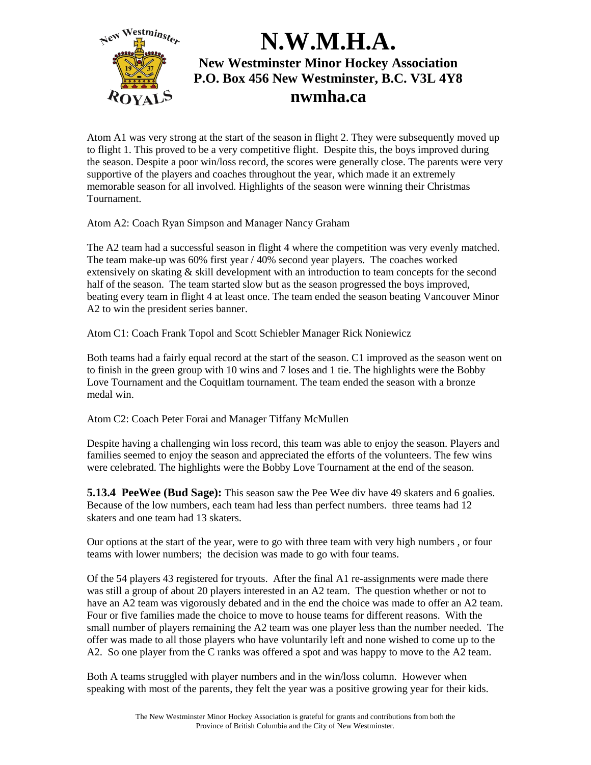

Atom A1 was very strong at the start of the season in flight 2. They were subsequently moved up to flight 1. This proved to be a very competitive flight. Despite this, the boys improved during the season. Despite a poor win/loss record, the scores were generally close. The parents were very supportive of the players and coaches throughout the year, which made it an extremely memorable season for all involved. Highlights of the season were winning their Christmas Tournament.

Atom A2: Coach Ryan Simpson and Manager Nancy Graham

The A2 team had a successful season in flight 4 where the competition was very evenly matched. The team make-up was 60% first year / 40% second year players. The coaches worked extensively on skating & skill development with an introduction to team concepts for the second half of the season. The team started slow but as the season progressed the boys improved, beating every team in flight 4 at least once. The team ended the season beating Vancouver Minor A2 to win the president series banner.

Atom C1: Coach Frank Topol and Scott Schiebler Manager Rick Noniewicz

Both teams had a fairly equal record at the start of the season. C1 improved as the season went on to finish in the green group with 10 wins and 7 loses and 1 tie. The highlights were the Bobby Love Tournament and the Coquitlam tournament. The team ended the season with a bronze medal win.

Atom C2: Coach Peter Forai and Manager Tiffany McMullen

Despite having a challenging win loss record, this team was able to enjoy the season. Players and families seemed to enjoy the season and appreciated the efforts of the volunteers. The few wins were celebrated. The highlights were the Bobby Love Tournament at the end of the season.

**5.13.4 PeeWee (Bud Sage):** This season saw the Pee Wee div have 49 skaters and 6 goalies. Because of the low numbers, each team had less than perfect numbers. three teams had 12 skaters and one team had 13 skaters.

Our options at the start of the year, were to go with three team with very high numbers , or four teams with lower numbers; the decision was made to go with four teams.

Of the 54 players 43 registered for tryouts. After the final A1 re-assignments were made there was still a group of about 20 players interested in an A2 team. The question whether or not to have an A2 team was vigorously debated and in the end the choice was made to offer an A2 team. Four or five families made the choice to move to house teams for different reasons. With the small number of players remaining the A2 team was one player less than the number needed. The offer was made to all those players who have voluntarily left and none wished to come up to the A2. So one player from the C ranks was offered a spot and was happy to move to the A2 team.

Both A teams struggled with player numbers and in the win/loss column. However when speaking with most of the parents, they felt the year was a positive growing year for their kids.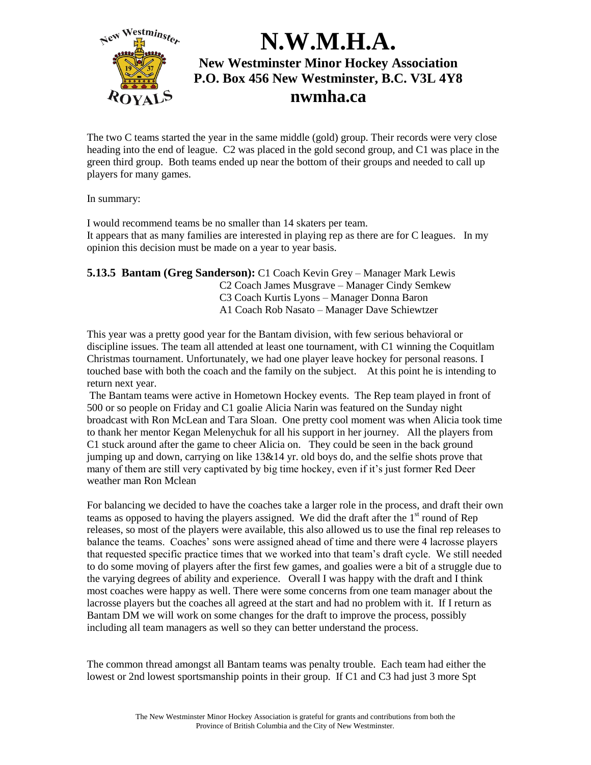

The two C teams started the year in the same middle (gold) group. Their records were very close heading into the end of league. C2 was placed in the gold second group, and C1 was place in the green third group. Both teams ended up near the bottom of their groups and needed to call up players for many games.

In summary:

I would recommend teams be no smaller than 14 skaters per team. It appears that as many families are interested in playing rep as there are for C leagues. In my opinion this decision must be made on a year to year basis.

**5.13.5 Bantam (Greg Sanderson):** C1 Coach Kevin Grey – Manager Mark Lewis C2 Coach James Musgrave – Manager Cindy Semkew C3 Coach Kurtis Lyons – Manager Donna Baron A1 Coach Rob Nasato – Manager Dave Schiewtzer

This year was a pretty good year for the Bantam division, with few serious behavioral or discipline issues. The team all attended at least one tournament, with C1 winning the Coquitlam Christmas tournament. Unfortunately, we had one player leave hockey for personal reasons. I touched base with both the coach and the family on the subject. At this point he is intending to return next year.

The Bantam teams were active in Hometown Hockey events. The Rep team played in front of 500 or so people on Friday and C1 goalie Alicia Narin was featured on the Sunday night broadcast with Ron McLean and Tara Sloan. One pretty cool moment was when Alicia took time to thank her mentor Kegan Melenychuk for all his support in her journey. All the players from C1 stuck around after the game to cheer Alicia on. They could be seen in the back ground jumping up and down, carrying on like 13&14 yr. old boys do, and the selfie shots prove that many of them are still very captivated by big time hockey, even if it's just former Red Deer weather man Ron Mclean

For balancing we decided to have the coaches take a larger role in the process, and draft their own teams as opposed to having the players assigned. We did the draft after the  $1<sup>st</sup>$  round of Rep releases, so most of the players were available, this also allowed us to use the final rep releases to balance the teams. Coaches' sons were assigned ahead of time and there were 4 lacrosse players that requested specific practice times that we worked into that team's draft cycle. We still needed to do some moving of players after the first few games, and goalies were a bit of a struggle due to the varying degrees of ability and experience. Overall I was happy with the draft and I think most coaches were happy as well. There were some concerns from one team manager about the lacrosse players but the coaches all agreed at the start and had no problem with it. If I return as Bantam DM we will work on some changes for the draft to improve the process, possibly including all team managers as well so they can better understand the process.

The common thread amongst all Bantam teams was penalty trouble. Each team had either the lowest or 2nd lowest sportsmanship points in their group. If C1 and C3 had just 3 more Spt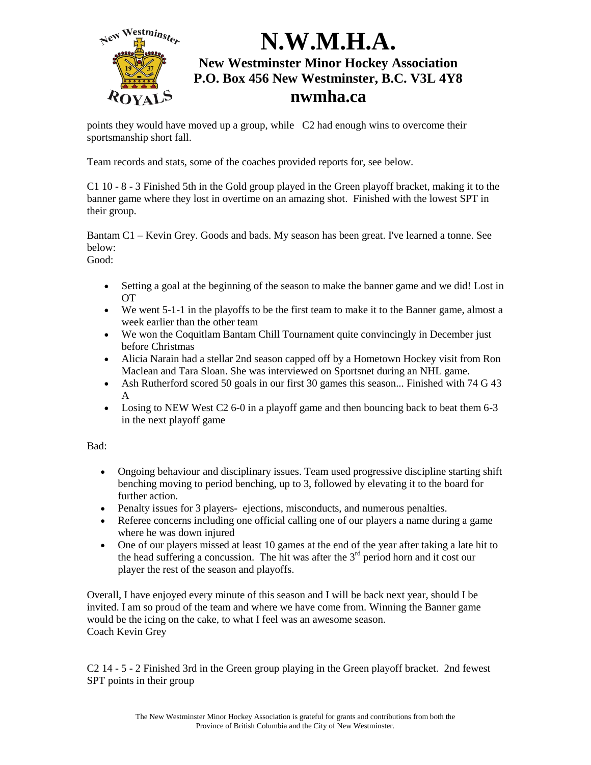

points they would have moved up a group, while C2 had enough wins to overcome their sportsmanship short fall.

Team records and stats, some of the coaches provided reports for, see below.

C1 10 - 8 - 3 Finished 5th in the Gold group played in the Green playoff bracket, making it to the banner game where they lost in overtime on an amazing shot. Finished with the lowest SPT in their group.

Bantam C1 – Kevin Grey. Goods and bads. My season has been great. I've learned a tonne. See below:

Good:

- Setting a goal at the beginning of the season to make the banner game and we did! Lost in OT
- We went 5-1-1 in the playoffs to be the first team to make it to the Banner game, almost a week earlier than the other team
- We won the Coquitlam Bantam Chill Tournament quite convincingly in December just before Christmas
- Alicia Narain had a stellar 2nd season capped off by a Hometown Hockey visit from Ron Maclean and Tara Sloan. She was interviewed on Sportsnet during an NHL game.
- Ash Rutherford scored 50 goals in our first 30 games this season... Finished with 74 G 43 A
- Losing to NEW West C2 6-0 in a playoff game and then bouncing back to beat them 6-3 in the next playoff game

Bad:

- Ongoing behaviour and disciplinary issues. Team used progressive discipline starting shift benching moving to period benching, up to 3, followed by elevating it to the board for further action.
- Penalty issues for 3 players- ejections, misconducts, and numerous penalties.
- Referee concerns including one official calling one of our players a name during a game where he was down injured
- One of our players missed at least 10 games at the end of the year after taking a late hit to the head suffering a concussion. The hit was after the  $3<sup>rd</sup>$  period horn and it cost our player the rest of the season and playoffs.

Overall, I have enjoyed every minute of this season and I will be back next year, should I be invited. I am so proud of the team and where we have come from. Winning the Banner game would be the icing on the cake, to what I feel was an awesome season. Coach Kevin Grey

C2 14 - 5 - 2 Finished 3rd in the Green group playing in the Green playoff bracket. 2nd fewest SPT points in their group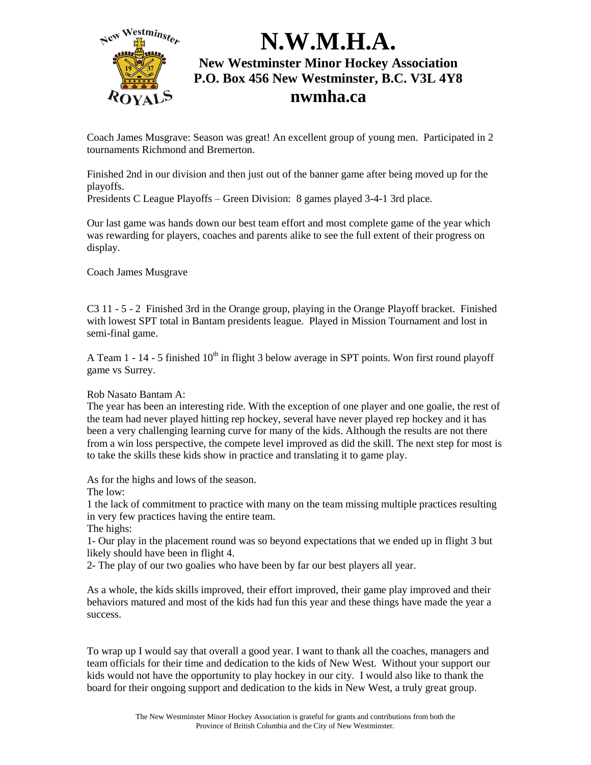

Coach James Musgrave: Season was great! An excellent group of young men. Participated in 2 tournaments Richmond and Bremerton.

Finished 2nd in our division and then just out of the banner game after being moved up for the playoffs.

Presidents C League Playoffs – Green Division: 8 games played 3-4-1 3rd place.

Our last game was hands down our best team effort and most complete game of the year which was rewarding for players, coaches and parents alike to see the full extent of their progress on display.

Coach James Musgrave

C3 11 - 5 - 2 Finished 3rd in the Orange group, playing in the Orange Playoff bracket. Finished with lowest SPT total in Bantam presidents league. Played in Mission Tournament and lost in semi-final game.

A Team 1 - 14 - 5 finished  $10<sup>th</sup>$  in flight 3 below average in SPT points. Won first round playoff game vs Surrey.

#### Rob Nasato Bantam A:

The year has been an interesting ride. With the exception of one player and one goalie, the rest of the team had never played hitting rep hockey, several have never played rep hockey and it has been a very challenging learning curve for many of the kids. Although the results are not there from a win loss perspective, the compete level improved as did the skill. The next step for most is to take the skills these kids show in practice and translating it to game play.

As for the highs and lows of the season.

The low:

1 the lack of commitment to practice with many on the team missing multiple practices resulting in very few practices having the entire team.

The highs:

1- Our play in the placement round was so beyond expectations that we ended up in flight 3 but likely should have been in flight 4.

2- The play of our two goalies who have been by far our best players all year.

As a whole, the kids skills improved, their effort improved, their game play improved and their behaviors matured and most of the kids had fun this year and these things have made the year a success.

To wrap up I would say that overall a good year. I want to thank all the coaches, managers and team officials for their time and dedication to the kids of New West. Without your support our kids would not have the opportunity to play hockey in our city. I would also like to thank the board for their ongoing support and dedication to the kids in New West, a truly great group.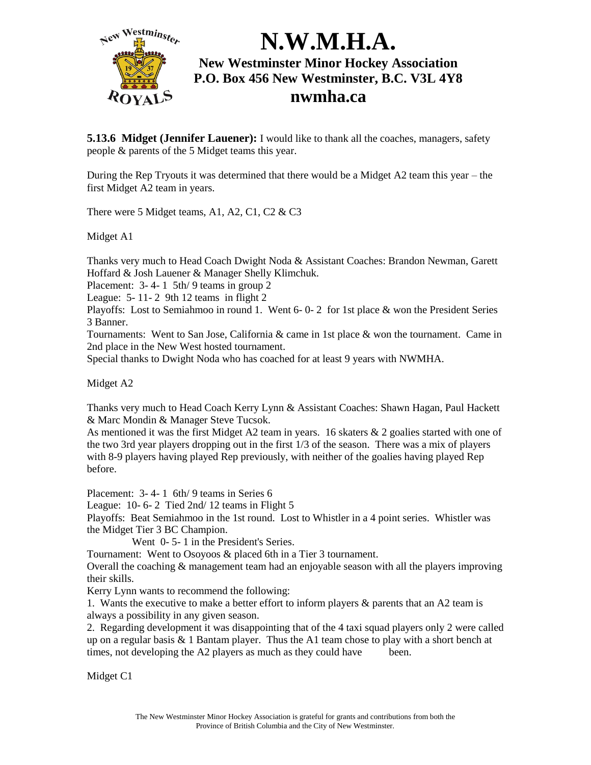

**5.13.6** Midget (Jennifer Lauener): I would like to thank all the coaches, managers, safety people & parents of the 5 Midget teams this year.

During the Rep Tryouts it was determined that there would be a Midget A2 team this year – the first Midget A2 team in years.

There were 5 Midget teams, A1, A2, C1, C2 & C3

Midget A1

Thanks very much to Head Coach Dwight Noda & Assistant Coaches: Brandon Newman, Garett Hoffard & Josh Lauener & Manager Shelly Klimchuk.

Placement: 3- 4- 1 5th/ 9 teams in group 2

League:  $5 - 11 - 2$  9th 12 teams in flight 2

Playoffs: Lost to Semiahmoo in round 1. Went 6- 0- 2 for 1st place & won the President Series 3 Banner.

Tournaments: Went to San Jose, California & came in 1st place & won the tournament. Came in 2nd place in the New West hosted tournament.

Special thanks to Dwight Noda who has coached for at least 9 years with NWMHA.

Midget A2

Thanks very much to Head Coach Kerry Lynn & Assistant Coaches: Shawn Hagan, Paul Hackett & Marc Mondin & Manager Steve Tucsok.

As mentioned it was the first Midget A2 team in years. 16 skaters & 2 goalies started with one of the two 3rd year players dropping out in the first 1/3 of the season. There was a mix of players with 8-9 players having played Rep previously, with neither of the goalies having played Rep before.

Placement: 3- 4- 1 6th/ 9 teams in Series 6

League: 10-6-2 Tied 2nd/12 teams in Flight 5

Playoffs: Beat Semiahmoo in the 1st round. Lost to Whistler in a 4 point series. Whistler was the Midget Tier 3 BC Champion.

Went 0- 5- 1 in the President's Series.

Tournament: Went to Osoyoos & placed 6th in a Tier 3 tournament.

Overall the coaching & management team had an enjoyable season with all the players improving their skills.

Kerry Lynn wants to recommend the following:

1. Wants the executive to make a better effort to inform players & parents that an A2 team is always a possibility in any given season.

2. Regarding development it was disappointing that of the 4 taxi squad players only 2 were called up on a regular basis  $\&$  1 Bantam player. Thus the A1 team chose to play with a short bench at times, not developing the A2 players as much as they could have been.

Midget C1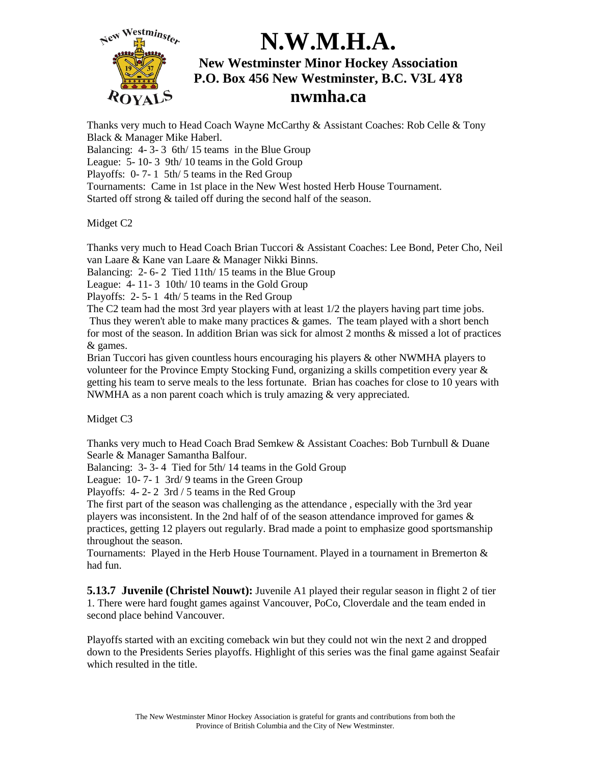

Thanks very much to Head Coach Wayne McCarthy & Assistant Coaches: Rob Celle & Tony Black & Manager Mike Haberl.

Balancing: 4- 3- 3 6th/ 15 teams in the Blue Group

League: 5- 10- 3 9th/ 10 teams in the Gold Group

Playoffs: 0- 7- 1 5th/ 5 teams in the Red Group

Tournaments: Came in 1st place in the New West hosted Herb House Tournament.

Started off strong & tailed off during the second half of the season.

Midget C2

Thanks very much to Head Coach Brian Tuccori & Assistant Coaches: Lee Bond, Peter Cho, Neil van Laare & Kane van Laare & Manager Nikki Binns.

Balancing: 2-6-2 Tied 11th/15 teams in the Blue Group

League: 4- 11- 3 10th/ 10 teams in the Gold Group

Playoffs: 2- 5- 1 4th/ 5 teams in the Red Group

The C2 team had the most 3rd year players with at least 1/2 the players having part time jobs. Thus they weren't able to make many practices & games. The team played with a short bench for most of the season. In addition Brian was sick for almost 2 months & missed a lot of practices & games.

Brian Tuccori has given countless hours encouraging his players & other NWMHA players to volunteer for the Province Empty Stocking Fund, organizing a skills competition every year & getting his team to serve meals to the less fortunate. Brian has coaches for close to 10 years with NWMHA as a non parent coach which is truly amazing & very appreciated.

Midget C3

Thanks very much to Head Coach Brad Semkew & Assistant Coaches: Bob Turnbull & Duane Searle & Manager Samantha Balfour.

Balancing: 3- 3- 4 Tied for 5th/ 14 teams in the Gold Group

League: 10- 7- 1 3rd/ 9 teams in the Green Group

Playoffs: 4- 2- 2 3rd / 5 teams in the Red Group

The first part of the season was challenging as the attendance , especially with the 3rd year players was inconsistent. In the 2nd half of of the season attendance improved for games & practices, getting 12 players out regularly. Brad made a point to emphasize good sportsmanship throughout the season.

Tournaments: Played in the Herb House Tournament. Played in a tournament in Bremerton & had fun.

**5.13.7 Juvenile (Christel Nouwt):** Juvenile A1 played their regular season in flight 2 of tier 1. There were hard fought games against Vancouver, PoCo, Cloverdale and the team ended in second place behind Vancouver.

Playoffs started with an exciting comeback win but they could not win the next 2 and dropped down to the Presidents Series playoffs. Highlight of this series was the final game against Seafair which resulted in the title.